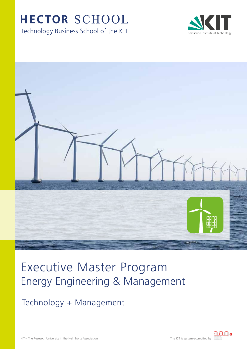# HECTOR SCHOOL

Technology Business School of the KIT





# Energy Engineering & Management Executive Master Program

Technology + Management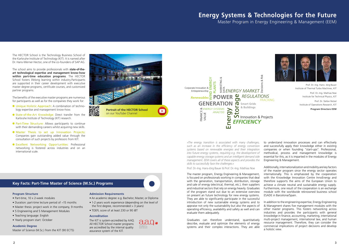## **Energy Systems & Technologies for the Future**  Master Program in Energy Engineering & Management (EEM)

Prof. Dr.-Ing. Hans- Jörg Bauer Institute of Thermal Turbo Machines, KIT Prof. Dr.-Ing. Mathias Noe Institute for Technical Physics, KIT Prof. Dr. Stefan Nickel Institute of Operations Research, KIT **Program Directors EEM**

### **Key Facts: Part-Time Master of Science (M.Sc.) Programs**

### **Program Structure**

- Part-time, 10 x 2-week modules
- Duration: part-time lecture period of ~15 months
- Master thesis: project work in the company, 9 months
- 5 Engineering and 5 Management Modules
- Teaching language: English
- Yearly program start: October

### **Academic Degree**

Master of Science (M.Sc.) from the KIT (90 ECTS)

### **Admission Requirements**

- An academic degree: e.g. Bachelor, Master, or Diploma
- 1-2 years work experience (depending on the level of the first degree, recommended  $>$  3 years)
- TOEFL score of at least 230 or 90 iBT

### **Accreditation**

The KIT is system-accredited by AAQ. All HECTOR School master programs are accredited by the internal quality assurance system of the KIT.





The HECTOR School is the Technology Business School of the Karlsruhe Institute of Technology (KIT). It is named after Dr. Hans-Werner Hector, one of the co-founders of SAP AG.

The school aims to provide professionals with **state-of-theart technological expertise and management know-how within part-time education programs**. The HECTOR School fosters lifelong learning within industry.Participants are supported in their career development with executive master degree programs, certificate courses, and customized partner programs.

The benefits of the executive master programs are numerous for participants as well as for the companies they work for:

- Unique Holistic Approach: A combination of technology expertise and management know-how.
- State-of-the-Art Knowledge: Direct transfer from the Karlsruhe Institute of Technology (KIT) research.
- **Part-Time Structure:** Allows participants to continue with their demanding careers whilst acquiring new skills.
- Master Thesis to set up Innovation Projects: Companies gain outstanding added value through the consultation of such projects by professors from KIT.
- Excellent Networking Opportunities: Professional networking is fostered across industries and on an international scale.



*»The energy transition is associated with many challenges, such as an increase in the efficiency of energy conversion systems based on renewable energies and their integration into future energy systems, requiring e.g. the development of capable energy storage systems and an intelligent demand side management. EEM covers all of these aspects and provides the skills to successfully face the challenges.«*

### Prof. Dr.-Ing. Hans-Jörg Bauer & Prof. Dr.-Ing. Mathias Noe

The master program, Energy Engineering & Management, is focused on professionals working in companies that deal with the generation, transportation, distribution, storage and sale of energy (electrical, thermal, etc.), their suppliers and industrial sectors that rely on energy heavily. Graduates of the program stand out due to an extensive overview on present an future technology for new energy systems. They are able to significantly participate in the successful introduction of new sustainable energy systems and to appraise not only the sustainability but also the aspects of operating efficiency, availability and safety as well and can evaluate them adequately.

Graduates can therefore understand, quantitatively describe, evaluate and optimize the elements of energy systems and their complex interactions. They are able to understand innovation processes and can effectively and successfully apply their knowledge either in existing companies or when founding "start-ups". Professional, methodical, process and management knowledge is essential for this, as it is imparted in the modules of Energy Engineering & Management.

Additionally, internationalization and mobility are key factors of the master program since the energy sector operates internationally. This is emphasized by the cooperation with the Knowledge Innovation Centre InnoEnergy and therefore supports the aims of the European Union to achieve a climate neutral and sustainable energy supply. Furthermore, one result of the cooperation is an exchange module with the worldwide reknowned business school ESADE in Barcelona/Spain.

In addition to the engineering expertise, Energy Engineering & Managment shares five management modules with the other master programs. This fosters networking across industries and provides the participants with general knowledge in finance, accounting, marketing, international multi-project management, international law, and human resource management. Therefore, they can consider the commercial implications of project decisions and develop a holistic view.

FRACKING

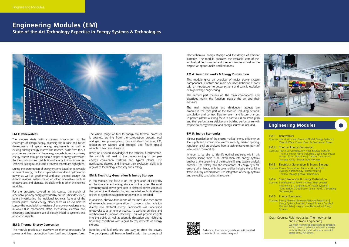electrochemical energy storage and the design of efficient batteries. The module discusses the available state-of-theart fuel cell technologies and their efficiencies as well as the respective opportunities and limitations.

#### **EM 4: Smart Networks & Energy Distribution**

This module gives an overview of major power system components, structure and main operation behavior. It starts with an introduction to power systems and basic knowledge of high voltage engineering.

The second part focuses on the main components and describes mainly the function, state-of-the art and their behavior.

The main transmission and distribution aspects are covered in the third part of the module, including network calculation and control. Due to recent and future changes in power systems a strong focus in part four is on smart grids and their performance. Additionally, building performance with respect to energy balance and energy sources is included.

### **EM 5: Energy Economics**

Various peculiarities of the energy market (energy efficiency on the supply and demand side, electric mobility, market opening, regulation, etc.) are analyzed from a techno-economic point of view within this module.

In order to be able to identify optimal strategies within this complex sector, there is an introduction into energy systems analysis at the beginning of the module. Energy systems analysis considers the totality and the interactions of energy systems, among other things, with the commodities industry, the building trade, industry and transport. The integration of energy systems and e-mobility concludes this module.



### **EM 1: Renewables**

The module starts with a general introduction to the challenges of energy supply, examinig the historic and future developments of global energy requirements as well as existing primary energy sources and reserves. Aside from this, it provides an overview of the energy cascade from the primary energy sources through the various stages of energy conversion, the transportation and distribution of energy to its ultimate use. Technical, ecological and socio-economic aspects are highlighted.

During the presentation of energy systems based on renewable sources of energy, the focus is placed on wind and hydroelectric power as well as geothermal and solar thermal energy. For didactic reasons, systems based on other renewables, such as photovoltaics and biomass, are dealt with in other engineering modules.

Courses: Introduction to Power Systems/ High Voltage Engineering | Components of Power Systems | Transmission & Distribution | Smart Grids & Emerging **Technologies** 

For the processes covered in this course, the supply of renewable primary energy provided by nature is first described, before investigating the individual technical features of the power plants. Wind energy plants serve as an example to convey the interdisciplinary nature of energy conversion plants, in which fluid mechanical, static, mechanical, electrical and electronic considerations are all closely linked to systemic and economic aspects.

Courses: Energy Markets | European Network Regulations | Energy Systems Analysis | Energy Efficiency (Supply & Demand Side) | Integration of Decentralized Energy **Systems** 

### **EM 2: Thermal Energy Conversion**

The module provides an overview on thermal processes for power and heat production from fossil and biogenic fuels.

The whole range of fuel to energy via thermal processes is covered, starting from the combustion process, coal and gas fired power plants, gas and steam turbines,  $CO<sub>2</sub>$ reduction by capture and storage, and finally special aspects of biomass utilization.

Based on a sound knowledge of the technical fundamentals, the module will lead to the understanding of complex energy conversion systems and typical plants. The participants develop and improve their evaluation skills with regards to technology, economy and ecology.

### **EM 3: Electricity Generation & Energy Storage**

In this module, the focus is on the generation of electricity on the one side and energy storage on the other. The most commonly used power generator in electrical power stations is the gas turbine. Understanding and knowledge of critical issues related to synchronous generator operation is provided.

In addition, photovoltaics is one of the most discussed forms of renewable energy generation. It converts solar radiation directly into electrical energy. Participants will understand photovoltaics as an energy source, it's working principle and mechanisms to improve efficiency. This will provide insights into the public as well as scientific discussion and highlights boundary conditions with regard to requirements of energy storage.

Batteries and fuel cells are one way to store the power. The participants will become familiar with the concepts of

## **Engineering Modules (EM)**

**State-of-the-Art Technology Expertise in Energy Systems & Technologies**



### **Engineering Modules**



### EM 1: Renewables

Courses: Introduction and Scope of EEM & Energy Systems | Wind & Water Power | Solar & Geothermal Power

### EM 2: Thermal Energy Conversion

Courses: Technical Combustion/ Heat & Mass Transfer | Thermal Power Plants including Coal & Gas Power Plants | Turbo Machinery | Carbon Capture and Storage (CCS) | Energy from Biomass

### EM 3: Electricity Generation & Energy Storage

Courses: Power Generators | Batteries & Fuel Cells | Hydrogen Technology | Photovoltaics | Thermal Storage | Power Electronics

### EM 4: Smart Networks & Energy Distribution

### EM 5: Energy Economics

### Crash Courses: Fluid mechanics, Thermodynamics and Electronic Engineering

We highly recommend all applicants to participate in the courses to update the technical knowledge, as it might be the crucial factor for a successful degree at HECTOR School.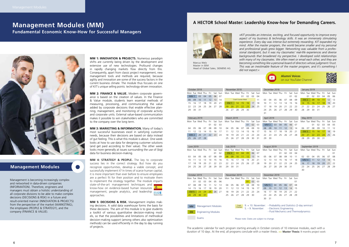**MM 1: INNOVATION & PROJECTS.** Numerous paradigm shifts are currently being driven by the development and extensive use of new technologies. Profound changes in rapidly changing markets flow directly from this. Consequently, apart from classic project management, new management tools and methods are required, because agility and innovation are some of the success factors in the current business climate. The module thus focuses on one of KIT's unique selling points: technology-driven innovation.

**MM 3: MARKETING & INFORMATION.** Many of today's most successful businesses excel in satisfying customer needs, because their decisions are based on data instead of gut feeling. This is what this module is about. One week looks at how to use data for designing customer solutions (and get paid according to their value). The other week looks more generally at issues surrounding the use of (big) data for business decision-making.

**MM 2: FINANCE & VALUE.** Modern corporate governance is based on the creation of values. In the Finance & Value module, students learn essential methods of measuring, processing, and communicating the value added by corporate decisions that enable effective planning, management, and monitoring of corporate activity and corporate units. External value-based communication makes it possible to win stakeholders who are committed to the company over the long term.

**MM 4: STRATEGY & PEOPLE.** The key to corporate success lies in the correct strategy. But how do you recognize opportunities, develop a viable concept, and successfully implement it? In times of scarce human capital, it is more important than ever before to ensure employees are a perfect fit for their position and to motivate them to implement the strategy together. The module imparts state-of-the-art management techniques and know-how on evidence-based human resources management, people analytics, and leadership **ESADE** approaches.



**MM 5: DECISIONS & RISK.** Management implies making decisions. A valid data warehouse forms the basis for these decisions. The aim of this module is to give students a toolkit of various quantitative decision-making models, so that the possibilities and limitations of methodical decision-making support (among others also optimization methods) can be used efficiently in the day to day running of projects.

## **Management Modules (MM) Fundamental Economic Know-How for Successful Managers**



### **Management Modules**

Management is becoming increasingly complex and networked in data-driven companies (INFORMATION). Therefore, engineers and managers must obtain a holistic understanding of all corporate divisions to be able to make complex decisions (DECISIONS & RISK) in a future and result-oriented manner (INNOVATION & PROJECTS) from the perspective of the market (MARKETING), the employees (PEOPLE & STRATEGY), and the company (FINANCE & VALUE).

Marcus Welz Master in EEM

Head of Global Sales, SIEMENS AG

### **A HECTOR School Master: Leadership Know-how for Demanding Careers.**



*»KIT provides an intensive, exciting, and focused opportunity to improve every aspect of my business & technology skills. It was an immensely stimulating experience. Every day was intense but extremely rewarding. KIT expanded my*  mind. After the master program, the world became smaller and my personal *and professional goals grew bigger. Networking was valuable from a professional standpoint, but it was my classmates' real-life experiences and diverse backgrounds that broadened my perspective. I developed solid relationships with many of my classmates. We often meet or email each other, and they are becoming something like a personal board of directors whose judgment I trust. This was an inestimable feature of the master program, and it's something I did not expect.«*

The academic calendar for each program starting annually in October consists of 10 intensive modules, each with a duration of 10 days. At the end, all programs conclude with a master thesis. **>> Master Thesis:** 9 months project work

|                 |                 |                             |     |     |     |         |                 |                   |                              |     |     |     |         |                 | P.          |                                  |     |     |     | <b>Alumni Voices</b> | on our YouTube Channel |          |                             |     |     |     |         |
|-----------------|-----------------|-----------------------------|-----|-----|-----|---------|-----------------|-------------------|------------------------------|-----|-----|-----|---------|-----------------|-------------|----------------------------------|-----|-----|-----|----------------------|------------------------|----------|-----------------------------|-----|-----|-----|---------|
|                 |                 | October 2018<br>Mon Tue Wed | Thu | Fri | Sat | Sun     |                 |                   | November 2018<br>Mon Tue Wed | Thu | Fri | Sat | Sun     |                 |             | December 2018<br>Mon Tue Wed Thu |     | Fri | Sat | Sun                  |                        |          | January 2019<br>Mon Tue Wed | Thu | Fri | Sat | Sun     |
| MM <sub>1</sub> |                 | 03                          | 04  | 05  | 06  | 07      |                 |                   |                              | 01  | 02  | 03  | 04      |                 |             |                                  |     |     | 01  | 02                   |                        | 01       | 02                          | 03  | 04  | 05  | 06      |
| 08              | 09              | 10                          | 11  | 12  | 13  | 14      |                 |                   | <b>Crash Courses Week</b>    |     |     |     | 11      | 03              | 04          | 05                               | 06  | 07  | 08  | 09                   | EM <sub>2</sub>        |          | 09                          | 10  | 11  | 12  | 13      |
| 15              | 16              | 17                          | 18  | 19  | 20  | 21      | EM <sub>1</sub> |                   | 14                           | 15  | 16  | 17  | 18      | 10              |             | 12                               | 13  | 14  | 15  | 16                   | 14                     | 15       | 16                          | 17  | 18  | 19  | 20      |
| 22              | 23              | 24                          | 25  | 26  | 27  | 28      | 19              | 20                | 21                           | 22  | 23  | 24  | 25      | 17              | 18          | 19                               | 20  | 21  | 22  | 23                   | 21                     | 22       | 23                          | 24  | 25  | 26  | 27      |
| 29              | 30              | 31                          |     |     |     |         | 26              | 27                | 28                           | 29  | 30  |     |         | 24              | 25          | 26                               | 27  | 28  | 29  | 30                   | 28                     | 29       | 30                          | 31  |     |     |         |
|                 |                 |                             |     |     |     |         |                 |                   |                              |     |     |     |         | 31              |             |                                  |     |     |     |                      |                        |          |                             |     |     |     |         |
|                 |                 | February 2019               |     |     |     |         |                 | <b>March 2019</b> |                              |     |     |     |         |                 | April 2019  |                                  |     |     |     |                      |                        | May 2019 |                             |     |     |     |         |
|                 |                 | Mon Tue Wed Thu             |     | Fri |     | Sat Sun |                 |                   | Mon Tue Wed Thu              |     | Fri |     | Sat Sun | Mon Tue         |             | Wed                              | Thu | Fri | Sat | Sun                  |                        |          | Mon Tue Wed                 | Thu | Fri | Sat | Sun     |
|                 |                 |                             |     | 01  | 02  | 03      |                 |                   |                              |     | 01  | 02  | 03      | MM <sub>3</sub> |             | 03                               | 04  | 05  | 06  | 07                   |                        |          | 01                          | 02  | 03  | 04  | 05      |
| 04              | 05              | 06                          | 07  | 08  | 09  | 10      | 04              | 05                | 06                           | 07  | 08  | 09  | 10      | 08              | 09          | 10                               | 11  | 12  | 13  | 14                   | 06                     | 07       | 08                          | 09  | 10  | 11  | 12      |
|                 | 12              | 13                          | 14  | 15  | 16  | 17      | 11              | 12                | 13                           | 14  | 15  | 16  | 17      | 15              | 16          | 17                               | 18  | 19  | 20  | 21                   | EM <sub>3</sub>        |          | 15                          | 16  | 17  | 18  | 19      |
|                 | MM <sub>2</sub> | 20                          | 21  | 22  | 23  | 24      | 18              | 19                | 20                           | 21  | 22  | 23  | 24      | 22              | 23          | 24                               | 25  | 26  | 27  | 28                   | 20                     | 21       | 22                          | 23  | 24  | 25  | 26      |
| 25              | 26              | 27                          | 28  |     |     |         | 25              | 26                | 27                           | 28  | 29  | 30  | 31      | 29              | 30          |                                  |     |     |     |                      | 28                     | 29       | 29                          | 30  | 31  |     |         |
|                 |                 |                             |     |     |     |         |                 |                   |                              |     |     |     |         |                 |             |                                  |     |     |     |                      |                        |          |                             |     |     |     |         |
|                 | June 2019       |                             |     |     |     |         |                 | <b>July 2019</b>  |                              |     |     |     |         |                 | August 2019 |                                  |     |     |     |                      |                        |          | September 2019              |     |     |     |         |
|                 |                 | Mon Tue Wed Thu             |     | Fri | Sat | Sun     |                 |                   | Mon Tue Wed Thu              |     | Fri | Sat | Sun     |                 |             | Mon Tue Wed                      | Thu | Fri | Sat | Sun                  |                        |          | Mon Tue Wed Thu             |     | Fri |     | Sat Sun |
|                 |                 |                             |     |     | 01  | 02      | EM <sub>4</sub> |                   | 03                           | 04  | 05  | 06  | 07      |                 |             |                                  | 01  | 02  | 03  | 04                   |                        |          |                             |     |     |     | 01      |

|                 |           |                 |     |     |     |     |                 |                  |                           |    |     |     |     |                 | $\blacktriangleright$ |                 |     |     |     | <b>Alumni Voices</b> | on our YouTube Channel |          |                 |     |     |  |
|-----------------|-----------|-----------------|-----|-----|-----|-----|-----------------|------------------|---------------------------|----|-----|-----|-----|-----------------|-----------------------|-----------------|-----|-----|-----|----------------------|------------------------|----------|-----------------|-----|-----|--|
|                 |           | October 2018    |     |     |     |     |                 |                  | November 2018             |    |     |     |     |                 |                       | December 2018   |     |     |     |                      |                        |          | January 2019    |     |     |  |
| Mon Tue         |           | Wed             | Thu | Fri | Sat | Sun |                 |                  | Mon Tue Wed Thu           |    | Fri | Sat | Sun |                 |                       | Mon Tue Wed Thu |     | Fri | Sat | Sun                  |                        |          | Mon Tue Wed     | Thu | Fri |  |
| MM <sub>1</sub> |           | 03              | 04  | 05  | 06  | 07  |                 |                  |                           | 01 | 02  | 03  | 04  |                 |                       |                 |     |     | 01  | 02                   |                        | 01       | 02              | 03  | 04  |  |
| 08              | 09        | 10              | 11  | 12  | 13  | 14  |                 |                  | <b>Crash Courses Week</b> |    |     |     | 11  | 03              | 04                    | 05              | 06  | 07  | 08  | 09                   | EM <sub>2</sub>        |          | 09              | 10  | 11  |  |
| 15              | 16        | 17              | 18  | 19  | 20  | 21  | EM <sub>1</sub> |                  | 14                        | 15 | 16  | 17  | 18  | 10              | 11                    | 12              | 13  | 14  | 15  | 16                   | 14                     | 15       | 16              | 17  | 18  |  |
| 22              | 23        | 24              | 25  | 26  | 27  | 28  | 19              | 20               | 21                        | 22 | 23  | 24  | 25  | 17              | 18                    | 19              | 20  | 21  | 22  | 23                   | 21                     | 22       | 23              | 24  | 25  |  |
| 29              | 30        | 31              |     |     |     |     | 26              | 27               | 28                        | 29 | 30  |     |     | 24              | 25                    | 26              | 27  | 28  | 29  | 30                   | 28                     | 29       | 30              | 31  |     |  |
|                 |           |                 |     |     |     |     |                 |                  |                           |    |     |     |     | 31              |                       |                 |     |     |     |                      |                        |          |                 |     |     |  |
|                 |           | February 2019   |     |     |     |     |                 | March 2019       |                           |    |     |     |     |                 | April 2019            |                 |     |     |     |                      |                        | May 2019 |                 |     |     |  |
|                 |           | Mon Tue Wed Thu |     | Fri | Sat | Sun |                 |                  | Mon Tue Wed Thu           |    | Fri | Sat | Sun | Mon Tue         |                       | Wed             | Thu | Fri | Sat | Sun                  |                        |          | Mon Tue Wed Thu |     | Fri |  |
|                 |           |                 |     | 01  | 02  | 03  |                 |                  |                           |    | 01  | 02  | 03  | MM <sub>3</sub> |                       | 03              | 04  | 05  | 06  | 07                   |                        |          | 01              | 02  | 03  |  |
| 04              | 05        | 06              | 07  | 08  | 09  | 10  | 04              | 05               | 06                        | 07 | 08  | 09  | 10  | 08              | 09                    | 10              | 11  | 12  | 13  | 14                   | 06                     | 07       | 08              | 09  | 10  |  |
| 11              | 12        | 13              | 14  | 15  | 16  | 17  | 11              | 12               | 13                        | 14 | 15  | 16  | 17  | 15              | 16                    | 17              | 18  | 19  | 20  | 21                   | EM <sub>3</sub>        |          | 15              | 16  | 17  |  |
| MM <sub>2</sub> |           | 20              | 21  | 22  | 23  | 24  | 18              | 19               | 20                        | 21 | 22  | 23  | 24  | 22              | 23                    | 24              | 25  | 26  | 27  | 28                   | 20                     | 21       | 22              | 23  | 24  |  |
| 25              | 26        | 27              | 28  |     |     |     | 25              | 26               | 27                        | 28 | 29  | 30  | 31  | 29              | 30                    |                 |     |     |     |                      | 28                     | 29       | 29              | 30  | 31  |  |
|                 |           |                 |     |     |     |     |                 |                  |                           |    |     |     |     |                 |                       |                 |     |     |     |                      |                        |          |                 |     |     |  |
|                 | June 2019 |                 |     |     |     |     |                 | <b>July 2019</b> |                           |    |     |     |     | August 2019     |                       |                 |     |     |     |                      | September 2019         |          |                 |     |     |  |
|                 |           | Mon Tue Wed Thu |     | Fri | Sat | Sun |                 |                  | Mon Tue Wed Thu           |    | Fri | Sat | Sun |                 |                       | Mon Tue Wed Thu |     | Fri | Sat | Sun                  |                        |          | Mon Tue Wed Thu |     | Fri |  |
|                 |           |                 |     |     | 01  | 02  | EM <sub>4</sub> |                  | 03                        | 04 | 05  | 06  | 07  |                 |                       |                 | 01  | 02  | 03  | 04                   |                        |          |                 |     |     |  |

|                 |            | October 2019               |    |     |    |         |                                           |    | November 2019           |    |     |    |                      |            |    | December 2019                    |    |     |     |     |
|-----------------|------------|----------------------------|----|-----|----|---------|-------------------------------------------|----|-------------------------|----|-----|----|----------------------|------------|----|----------------------------------|----|-----|-----|-----|
|                 |            | Mon Tue Wed Thu            |    | Fri |    | Sat Sun |                                           |    | Mon Tue Wed Thu         |    | Fri |    | Sat Sun              |            |    | Mon Tue Wed Thu                  |    | Fri | Sat | Sun |
|                 | $^{\circ}$ | 02                         | 03 | 04  | 05 | 06      |                                           |    |                         |    | 01  | 02 | 03                   |            |    |                                  |    |     |     | 01  |
| 07              | 08         | 09                         | 10 | 11  | 12 | 13      | 04                                        | 05 | 06                      | 07 | 08  | 09 | 10                   | <b>MM5</b> |    | 04                               | 05 | 06  | 07  | 08  |
| 14              | 15         | 16                         | 17 | 18  | 19 | 20      | 11                                        | 12 | 13                      | 14 | 15  | 16 | 17                   | 09         | 10 | 11                               | 12 | 13  | 14  | 15  |
| EM <sub>5</sub> |            | 23                         | 24 | 25  | 26 | 27      | 18                                        | 19 | 20                      | 21 | 22  | 23 | 24                   | 16         | 17 | 18                               | 19 | 20  | 21  | 22  |
| 28              | 29         | 30                         | 31 |     |    |         | 25                                        | 26 | 27                      | 28 | 29  | 30 |                      | 23         | 24 | 25                               | 26 | 27  | 28  | 29  |
|                 |            |                            |    |     |    |         |                                           |    |                         |    |     |    |                      | 30         | 31 |                                  |    |     |     |     |
|                 |            |                            |    |     |    |         |                                           |    |                         |    |     |    |                      |            |    |                                  |    |     |     |     |
| <b>MM</b>       |            | <b>Management Modules</b>  |    |     |    |         |                                           |    | Crash<br><b>Courses</b> |    |     |    | $9. + 10.$ November: |            |    | - Probability and Statistics (2) |    |     |     |     |
|                 |            |                            |    |     |    |         |                                           |    |                         |    |     |    | $5. - 9.$ November:  |            |    | - Electronic Engineering         |    |     |     |     |
| <b>EM</b>       |            | <b>Engineering Modules</b> |    |     |    |         |                                           |    |                         |    |     |    |                      |            |    | - Fluid Mechanics and Thern      |    |     |     |     |
|                 |            |                            |    |     |    |         |                                           |    |                         |    |     |    |                      |            |    |                                  |    |     |     |     |
| Exams           |            |                            |    |     |    |         | Please note: Dates are subject to change. |    |                         |    |     |    |                      |            |    |                                  |    |     |     |     |

|     | June 2019 |                   |  |  |                                                         | <b>July 2019</b> |  |       |  |
|-----|-----------|-------------------|--|--|---------------------------------------------------------|------------------|--|-------|--|
|     |           |                   |  |  | Mon Tue Wed Thu Fri Sat Sun Mon Tue Wed Thu Fri Sat Sun |                  |  |       |  |
|     |           |                   |  |  | 01 02 EM 4 03 04 05                                     |                  |  | 06 07 |  |
| 03. |           | 04 05 06 07 08 09 |  |  | 08 09 10 11 12 13 14                                    |                  |  |       |  |
| 10  |           |                   |  |  | 11 12 13 14 15 16 15 16 17 18 19 20 21                  |                  |  |       |  |
| 17  | 18.       |                   |  |  | 19 20 21 22 23 22 23 24 25 26 27 28                     |                  |  |       |  |
| 24  |           | 25 26 27 28 29 30 |  |  |                                                         | 29 30 31         |  |       |  |

|  |  | 01 02 03 04 |                                                                                                                                      |  |  |  |  |
|--|--|-------------|--------------------------------------------------------------------------------------------------------------------------------------|--|--|--|--|
|  |  |             | 05        06        07        08        09        10        11        02        03        04        05        06        07        08 |  |  |  |  |
|  |  |             |                                                                                                                                      |  |  |  |  |
|  |  |             | 19  20  21  22  23  24  25  16  17  18  19  20  21  22                                                                               |  |  |  |  |
|  |  |             |                                                                                                                                      |  |  |  |  |

- day seminar)

nodynamics

 $30$